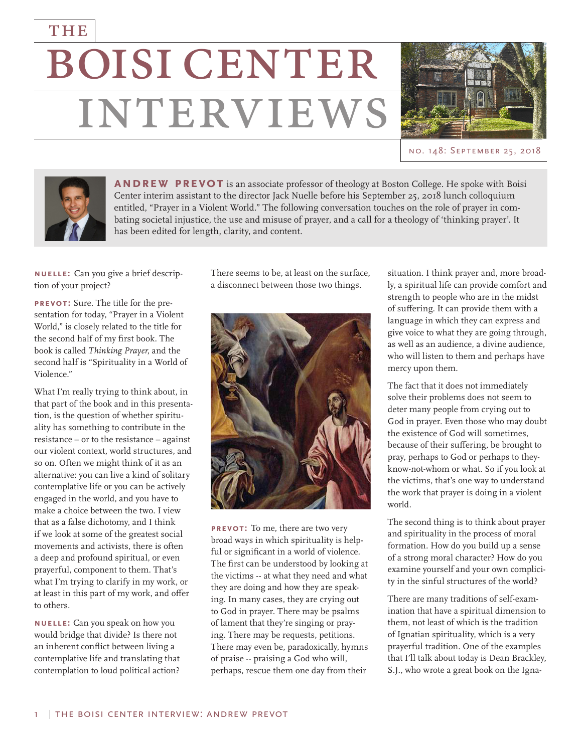## **BOISI CENTER** THE **INTERVIEWS**



no. 148: September 25, 2018



**ANDREW PREVOT** is an associate professor of theology at Boston College. He spoke with Boisi Center interim assistant to the director Jack Nuelle before his September 25, 2018 lunch colloquium entitled, "Prayer in a Violent World." The following conversation touches on the role of prayer in combating societal injustice, the use and misuse of prayer, and a call for a theology of 'thinking prayer'. It has been edited for length, clarity, and content.

**nuelle:** Can you give a brief description of your project?

**prevot:** Sure. The title for the presentation for today, "Prayer in a Violent World," is closely related to the title for the second half of my first book. The book is called *Thinking Prayer*, and the second half is "Spirituality in a World of Violence."

What I'm really trying to think about, in that part of the book and in this presentation, is the question of whether spirituality has something to contribute in the resistance – or to the resistance – against our violent context, world structures, and so on. Often we might think of it as an alternative: you can live a kind of solitary contemplative life or you can be actively engaged in the world, and you have to make a choice between the two. I view that as a false dichotomy, and I think if we look at some of the greatest social movements and activists, there is often a deep and profound spiritual, or even prayerful, component to them. That's what I'm trying to clarify in my work, or at least in this part of my work, and offer to others.

**nuelle:** Can you speak on how you would bridge that divide? Is there not an inherent conflict between living a contemplative life and translating that contemplation to loud political action?

There seems to be, at least on the surface, a disconnect between those two things.



**prevot:** To me, there are two very broad ways in which spirituality is helpful or significant in a world of violence. The first can be understood by looking at the victims -- at what they need and what they are doing and how they are speaking. In many cases, they are crying out to God in prayer. There may be psalms of lament that they're singing or praying. There may be requests, petitions. There may even be, paradoxically, hymns of praise -- praising a God who will, perhaps, rescue them one day from their

situation. I think prayer and, more broadly, a spiritual life can provide comfort and strength to people who are in the midst of suffering. It can provide them with a language in which they can express and give voice to what they are going through, as well as an audience, a divine audience, who will listen to them and perhaps have mercy upon them.

The fact that it does not immediately solve their problems does not seem to deter many people from crying out to God in prayer. Even those who may doubt the existence of God will sometimes, because of their suffering, be brought to pray, perhaps to God or perhaps to theyknow-not-whom or what. So if you look at the victims, that's one way to understand the work that prayer is doing in a violent world.

The second thing is to think about prayer and spirituality in the process of moral formation. How do you build up a sense of a strong moral character? How do you examine yourself and your own complicity in the sinful structures of the world?

There are many traditions of self-examination that have a spiritual dimension to them, not least of which is the tradition of Ignatian spirituality, which is a very prayerful tradition. One of the examples that I'll talk about today is Dean Brackley, S.J., who wrote a great book on the Igna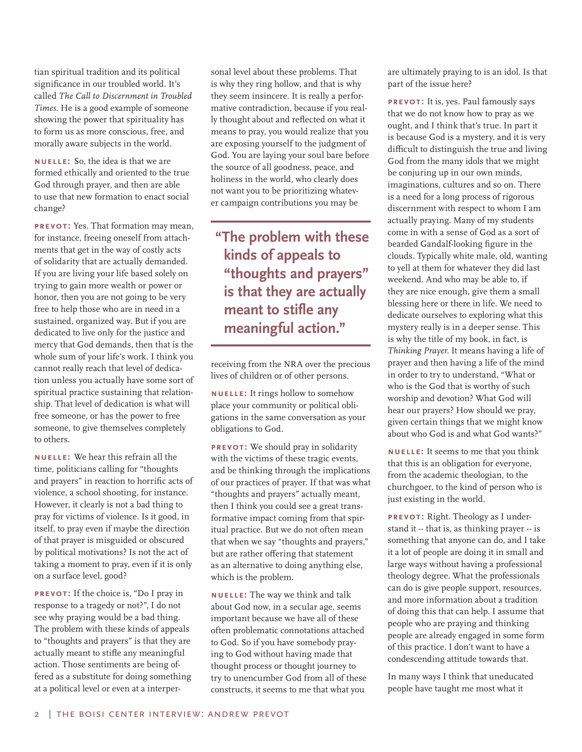tian spiritual tradition and its political significance in our troubled world. It's called *The Call to Discernment in Troubled Times*. He is a good example of someone showing the power that spirituality has to form us as more conscious, free, and morally aware subjects in the world.

**nuelle:** So, the idea is that we are formed ethically and oriented to the true God through prayer, and then are able to use that new formation to enact social change?

**prevot:** Yes. That formation may mean, for instance, freeing oneself from attachments that get in the way of costly acts of solidarity that are actually demanded. If you are living your life based solely on trying to gain more wealth or power or honor, then you are not going to be very free to help those who are in need in a sustained, organized way. But if you are dedicated to live only for the justice and mercy that God demands, then that is the whole sum of your life's work. I think you cannot really reach that level of dedication unless you actually have some sort of spiritual practice sustaining that relationship. That level of dedication is what will free someone, or has the power to free someone, to give themselves completely to others.

**nuelle:** We hear this refrain all the time, politicians calling for "thoughts and prayers" in reaction to horrific acts of violence, a school shooting, for instance. However, it clearly is not a bad thing to pray for victims of violence. Is it good, in itself, to pray even if maybe the direction of that prayer is misguided or obscured by political motivations? Is not the act of taking a moment to pray, even if it is only on a surface level, good?

**prevot:** If the choice is, "Do I pray in response to a tragedy or not?", I do not see why praying would be a bad thing. The problem with these kinds of appeals to "thoughts and prayers" is that they are actually meant to stifle any meaningful action. Those sentiments are being offered as a substitute for doing something at a political level or even at a interpersonal level about these problems. That is why they ring hollow, and that is why they seem insincere. It is really a performative contradiction, because if you really thought about and reflected on what it means to pray, you would realize that you are exposing yourself to the judgment of God. You are laying your soul bare before the source of all goodness, peace, and holiness in the world, who clearly does not want you to be prioritizing whatever campaign contributions you may be

**"The problem with these kinds of appeals to "thoughts and prayers" is that they are actually meant to stifle any meaningful action."**

receiving from the NRA over the precious lives of children or of other persons.

**nuelle:** It rings hollow to somehow place your community or political obligations in the same conversation as your obligations to God.

**prevot:** We should pray in solidarity with the victims of these tragic events, and be thinking through the implications of our practices of prayer. If that was what "thoughts and prayers" actually meant, then I think you could see a great transformative impact coming from that spiritual practice. But we do not often mean that when we say "thoughts and prayers," but are rather offering that statement as an alternative to doing anything else, which is the problem.

**nuelle:** The way we think and talk about God now, in a secular age, seems important because we have all of these often problematic connotations attached to God. So if you have somebody praying to God without having made that thought process or thought journey to try to unencumber God from all of these constructs, it seems to me that what you

are ultimately praying to is an idol. Is that part of the issue here?

**prevot:** It is, yes. Paul famously says that we do not know how to pray as we ought, and I think that's true. In part it is because God is a mystery, and it is very difficult to distinguish the true and living God from the many idols that we might be conjuring up in our own minds, imaginations, cultures and so on. There is a need for a long process of rigorous discernment with respect to whom I am actually praying. Many of my students come in with a sense of God as a sort of bearded Gandalf-looking figure in the clouds. Typically white male, old, wanting to yell at them for whatever they did last weekend. And who may be able to, if they are nice enough, give them a small blessing here or there in life. We need to dedicate ourselves to exploring what this mystery really is in a deeper sense. This is why the title of my book, in fact, is *Thinking Prayer.* It means having a life of prayer and then having a life of the mind in order to try to understand, "What or who is the God that is worthy of such worship and devotion? What God will hear our prayers? How should we pray, given certain things that we might know about who God is and what God wants?"

**nuelle:** It seems to me that you think that this is an obligation for everyone, from the academic theologian, to the churchgoer, to the kind of person who is just existing in the world.

**prevot:** Right. Theology as I understand it -- that is, as thinking prayer -- is something that anyone can do, and I take it a lot of people are doing it in small and large ways without having a professional theology degree. What the professionals can do is give people support, resources, and more information about a tradition of doing this that can help. I assume that people who are praying and thinking people are already engaged in some form of this practice. I don't want to have a condescending attitude towards that.

In many ways I think that uneducated people have taught me most what it